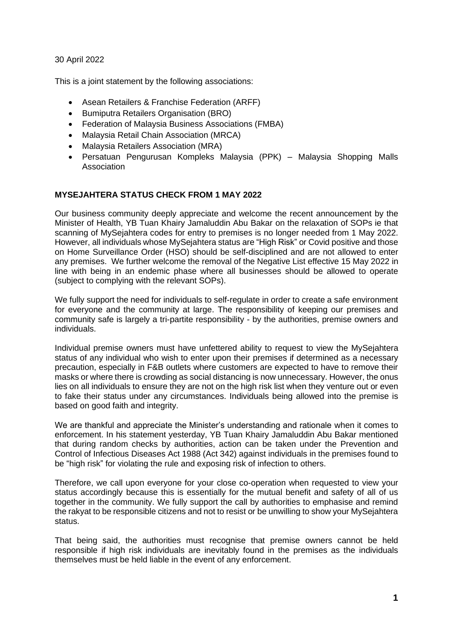30 April 2022

This is a joint statement by the following associations:

- Asean Retailers & Franchise Federation (ARFF)
- Bumiputra Retailers Organisation (BRO)
- Federation of Malaysia Business Associations (FMBA)
- Malaysia Retail Chain Association (MRCA)
- Malaysia Retailers Association (MRA)
- Persatuan Pengurusan Kompleks Malaysia (PPK) Malaysia Shopping Malls Association

## **MYSEJAHTERA STATUS CHECK FROM 1 MAY 2022**

Our business community deeply appreciate and welcome the recent announcement by the Minister of Health, YB Tuan Khairy Jamaluddin Abu Bakar on the relaxation of SOPs ie that scanning of MySejahtera codes for entry to premises is no longer needed from 1 May 2022. However, all individuals whose MySejahtera status are "High Risk" or Covid positive and those on Home Surveillance Order (HSO) should be self-disciplined and are not allowed to enter any premises. We further welcome the removal of the Negative List effective 15 May 2022 in line with being in an endemic phase where all businesses should be allowed to operate (subject to complying with the relevant SOPs).

We fully support the need for individuals to self-regulate in order to create a safe environment for everyone and the community at large. The responsibility of keeping our premises and community safe is largely a tri-partite responsibility - by the authorities, premise owners and individuals.

Individual premise owners must have unfettered ability to request to view the MySejahtera status of any individual who wish to enter upon their premises if determined as a necessary precaution, especially in F&B outlets where customers are expected to have to remove their masks or where there is crowding as social distancing is now unnecessary. However, the onus lies on all individuals to ensure they are not on the high risk list when they venture out or even to fake their status under any circumstances. Individuals being allowed into the premise is based on good faith and integrity.

We are thankful and appreciate the Minister's understanding and rationale when it comes to enforcement. In his statement yesterday, YB Tuan Khairy Jamaluddin Abu Bakar mentioned that during random checks by authorities, action can be taken under the Prevention and Control of Infectious Diseases Act 1988 (Act 342) against individuals in the premises found to be "high risk" for violating the rule and exposing risk of infection to others.

Therefore, we call upon everyone for your close co-operation when requested to view your status accordingly because this is essentially for the mutual benefit and safety of all of us together in the community. We fully support the call by authorities to emphasise and remind the rakyat to be responsible citizens and not to resist or be unwilling to show your MySejahtera status.

That being said, the authorities must recognise that premise owners cannot be held responsible if high risk individuals are inevitably found in the premises as the individuals themselves must be held liable in the event of any enforcement.